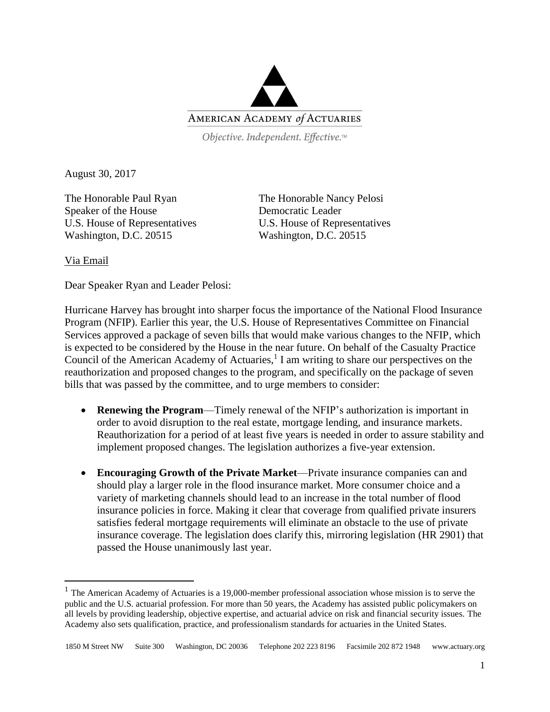

Objective. Independent. Effective.™

August 30, 2017

The Honorable Paul Ryan The Honorable Nancy Pelosi Speaker of the House Democratic Leader U.S. House of Representatives U.S. House of Representatives Washington, D.C. 20515 Washington, D.C. 20515

## Via Email

 $\overline{a}$ 

Dear Speaker Ryan and Leader Pelosi:

Hurricane Harvey has brought into sharper focus the importance of the National Flood Insurance Program (NFIP). Earlier this year, the U.S. House of Representatives Committee on Financial Services approved a package of seven bills that would make various changes to the NFIP, which is expected to be considered by the House in the near future. On behalf of the Casualty Practice Council of the American Academy of Actuaries, $<sup>1</sup>$  I am writing to share our perspectives on the</sup> reauthorization and proposed changes to the program, and specifically on the package of seven bills that was passed by the committee, and to urge members to consider:

- **Renewing the Program**—Timely renewal of the NFIP's authorization is important in order to avoid disruption to the real estate, mortgage lending, and insurance markets. Reauthorization for a period of at least five years is needed in order to assure stability and implement proposed changes. The legislation authorizes a five-year extension.
- **Encouraging Growth of the Private Market**—Private insurance companies can and should play a larger role in the flood insurance market. More consumer choice and a variety of marketing channels should lead to an increase in the total number of flood insurance policies in force. Making it clear that coverage from qualified private insurers satisfies federal mortgage requirements will eliminate an obstacle to the use of private insurance coverage. The legislation does clarify this, mirroring legislation (HR 2901) that passed the House unanimously last year.

<sup>&</sup>lt;sup>1</sup> The American Academy of Actuaries is a 19,000-member professional association whose mission is to serve the public and the U.S. actuarial profession. For more than 50 years, the Academy has assisted public policymakers on all levels by providing leadership, objective expertise, and actuarial advice on risk and financial security issues. The Academy also sets qualification, practice, and professionalism standards for actuaries in the United States.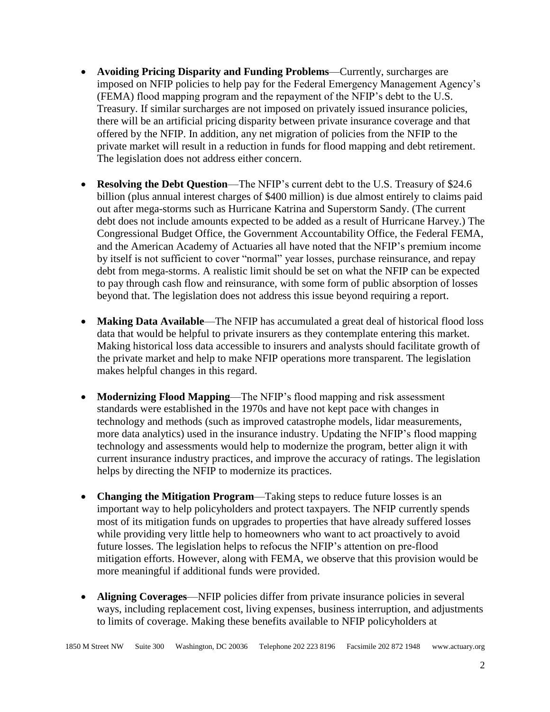- **Avoiding Pricing Disparity and Funding Problems**—Currently, surcharges are imposed on NFIP policies to help pay for the Federal Emergency Management Agency's (FEMA) flood mapping program and the repayment of the NFIP's debt to the U.S. Treasury. If similar surcharges are not imposed on privately issued insurance policies, there will be an artificial pricing disparity between private insurance coverage and that offered by the NFIP. In addition, any net migration of policies from the NFIP to the private market will result in a reduction in funds for flood mapping and debt retirement. The legislation does not address either concern.
- **Resolving the Debt Question**—The NFIP's current debt to the U.S. Treasury of \$24.6 billion (plus annual interest charges of \$400 million) is due almost entirely to claims paid out after mega-storms such as Hurricane Katrina and Superstorm Sandy. (The current debt does not include amounts expected to be added as a result of Hurricane Harvey.) The Congressional Budget Office, the Government Accountability Office, the Federal FEMA, and the American Academy of Actuaries all have noted that the NFIP's premium income by itself is not sufficient to cover "normal" year losses, purchase reinsurance, and repay debt from mega-storms. A realistic limit should be set on what the NFIP can be expected to pay through cash flow and reinsurance, with some form of public absorption of losses beyond that. The legislation does not address this issue beyond requiring a report.
- **Making Data Available**—The NFIP has accumulated a great deal of historical flood loss data that would be helpful to private insurers as they contemplate entering this market. Making historical loss data accessible to insurers and analysts should facilitate growth of the private market and help to make NFIP operations more transparent. The legislation makes helpful changes in this regard.
- **Modernizing Flood Mapping**—The NFIP's flood mapping and risk assessment standards were established in the 1970s and have not kept pace with changes in technology and methods (such as improved catastrophe models, lidar measurements, more data analytics) used in the insurance industry. Updating the NFIP's flood mapping technology and assessments would help to modernize the program, better align it with current insurance industry practices, and improve the accuracy of ratings. The legislation helps by directing the NFIP to modernize its practices.
- **Changing the Mitigation Program**—Taking steps to reduce future losses is an important way to help policyholders and protect taxpayers. The NFIP currently spends most of its mitigation funds on upgrades to properties that have already suffered losses while providing very little help to homeowners who want to act proactively to avoid future losses. The legislation helps to refocus the NFIP's attention on pre-flood mitigation efforts. However, along with FEMA, we observe that this provision would be more meaningful if additional funds were provided.
- **Aligning Coverages**—NFIP policies differ from private insurance policies in several ways, including replacement cost, living expenses, business interruption, and adjustments to limits of coverage. Making these benefits available to NFIP policyholders at